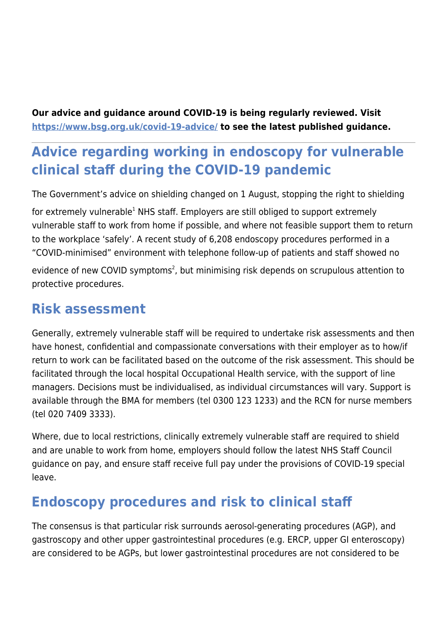**Our advice and guidance around COVID-19 is being regularly reviewed. Visit <https://www.bsg.org.uk/covid-19-advice/>to see the latest published guidance.**

# **Advice regarding working in endoscopy for vulnerable clinical staff during the COVID-19 pandemic**

The Government's advice on shielding changed on 1 August, stopping the right to shielding

for extremely vulnerable<sup>1</sup> NHS staff. Employers are still obliged to support extremely vulnerable staff to work from home if possible, and where not feasible support them to return to the workplace 'safely'. A recent study of 6,208 endoscopy procedures performed in a "COVID-minimised" environment with telephone follow-up of patients and staff showed no

evidence of new COVID symptoms<sup>2</sup>, but minimising risk depends on scrupulous attention to protective procedures.

### **Risk assessment**

Generally, extremely vulnerable staff will be required to undertake risk assessments and then have honest, confidential and compassionate conversations with their employer as to how/if return to work can be facilitated based on the outcome of the risk assessment. This should be facilitated through the local hospital Occupational Health service, with the support of line managers. Decisions must be individualised, as individual circumstances will vary. Support is available through the BMA for members (tel 0300 123 1233) and the RCN for nurse members (tel 020 7409 3333).

Where, due to local restrictions, clinically extremely vulnerable staff are required to shield and are unable to work from home, employers should follow the latest NHS Staff Council guidance on pay, and ensure staff receive full pay under the provisions of COVID-19 special leave.

## **Endoscopy procedures and risk to clinical staff**

The consensus is that particular risk surrounds aerosol-generating procedures (AGP), and gastroscopy and other upper gastrointestinal procedures (e.g. ERCP, upper GI enteroscopy) are considered to be AGPs, but lower gastrointestinal procedures are not considered to be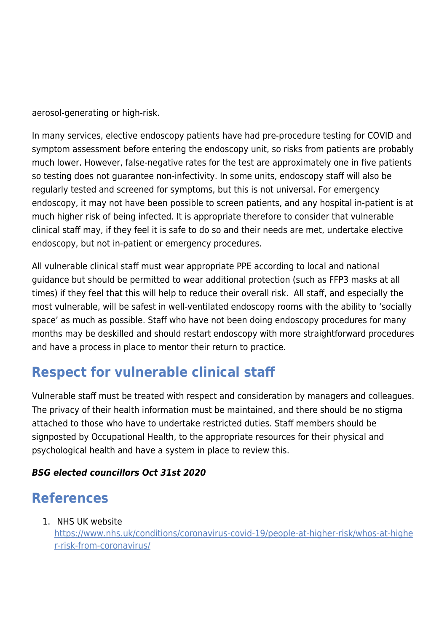aerosol-generating or high-risk.

In many services, elective endoscopy patients have had pre-procedure testing for COVID and symptom assessment before entering the endoscopy unit, so risks from patients are probably much lower. However, false-negative rates for the test are approximately one in five patients so testing does not guarantee non-infectivity. In some units, endoscopy staff will also be regularly tested and screened for symptoms, but this is not universal. For emergency endoscopy, it may not have been possible to screen patients, and any hospital in-patient is at much higher risk of being infected. It is appropriate therefore to consider that vulnerable clinical staff may, if they feel it is safe to do so and their needs are met, undertake elective endoscopy, but not in-patient or emergency procedures.

All vulnerable clinical staff must wear appropriate PPE according to local and national guidance but should be permitted to wear additional protection (such as FFP3 masks at all times) if they feel that this will help to reduce their overall risk. All staff, and especially the most vulnerable, will be safest in well-ventilated endoscopy rooms with the ability to 'socially space' as much as possible. Staff who have not been doing endoscopy procedures for many months may be deskilled and should restart endoscopy with more straightforward procedures and have a process in place to mentor their return to practice.

## **Respect for vulnerable clinical staff**

Vulnerable staff must be treated with respect and consideration by managers and colleagues. The privacy of their health information must be maintained, and there should be no stigma attached to those who have to undertake restricted duties. Staff members should be signposted by Occupational Health, to the appropriate resources for their physical and psychological health and have a system in place to review this.

#### *BSG elected councillors Oct 31st 2020*

### **References**

1. NHS UK website

[https://www.nhs.uk/conditions/coronavirus-covid-19/people-at-higher-risk/whos-at-highe](https://www.nhs.uk/conditions/coronavirus-covid-19/people-at-higher-risk/whos-at-higher-risk-from-coronavirus/) [r-risk-from-coronavirus/](https://www.nhs.uk/conditions/coronavirus-covid-19/people-at-higher-risk/whos-at-higher-risk-from-coronavirus/)